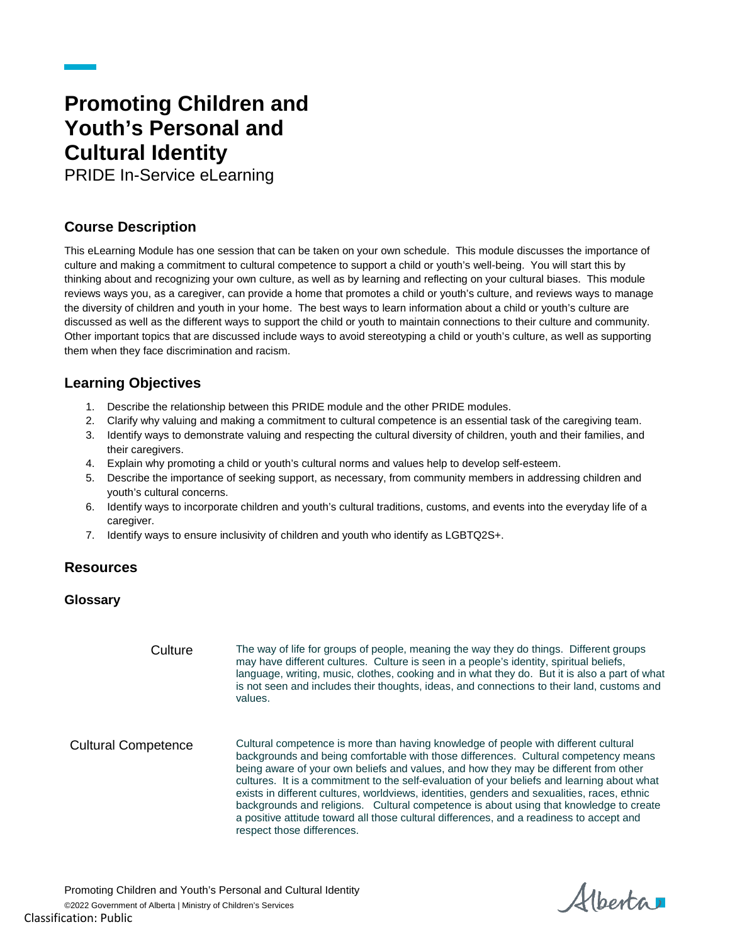# **Promoting Children and Youth's Personal and Cultural Identity**

PRIDE In-Service eLearning

## **Course Description**

This eLearning Module has one session that can be taken on your own schedule. This module discusses the importance of culture and making a commitment to cultural competence to support a child or youth's well-being. You will start this by thinking about and recognizing your own culture, as well as by learning and reflecting on your cultural biases. This module reviews ways you, as a caregiver, can provide a home that promotes a child or youth's culture, and reviews ways to manage the diversity of children and youth in your home. The best ways to learn information about a child or youth's culture are discussed as well as the different ways to support the child or youth to maintain connections to their culture and community. Other important topics that are discussed include ways to avoid stereotyping a child or youth's culture, as well as supporting them when they face discrimination and racism.

### **Learning Objectives**

- 1. Describe the relationship between this PRIDE module and the other PRIDE modules.
- 2. Clarify why valuing and making a commitment to cultural competence is an essential task of the caregiving team.
- 3. Identify ways to demonstrate valuing and respecting the cultural diversity of children, youth and their families, and their caregivers.
- 4. Explain why promoting a child or youth's cultural norms and values help to develop self-esteem.
- 5. Describe the importance of seeking support, as necessary, from community members in addressing children and youth's cultural concerns.
- 6. Identify ways to incorporate children and youth's cultural traditions, customs, and events into the everyday life of a caregiver.
- 7. Identify ways to ensure inclusivity of children and youth who identify as LGBTQ2S+.

#### **Resources**

#### **Glossary**

Culture The way of life for groups of people, meaning the way they do things. Different groups may have different cultures. Culture is seen in a people's identity, spiritual beliefs, language, writing, music, clothes, cooking and in what they do. But it is also a part of what is not seen and includes their thoughts, ideas, and connections to their land, customs and values. Cultural Competence Cultural competence is more than having knowledge of people with different cultural backgrounds and being comfortable with those differences. Cultural competency means being aware of your own beliefs and values, and how they may be different from other cultures. It is a commitment to the self-evaluation of your beliefs and learning about what exists in different cultures, worldviews, identities, genders and sexualities, races, ethnic backgrounds and religions. Cultural competence is about using that knowledge to create a positive attitude toward all those cultural differences, and a readiness to accept and respect those differences.

Promoting Children and Youth's Personal and Cultural Identity ©2022 Government of Alberta | Ministry of Children's Services Classification: Public

Alberta